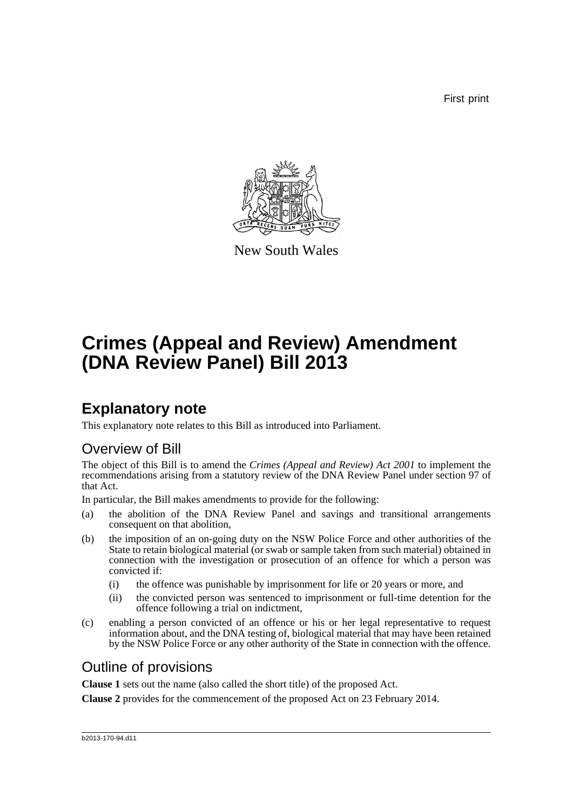First print



New South Wales

# **Crimes (Appeal and Review) Amendment (DNA Review Panel) Bill 2013**

## **Explanatory note**

This explanatory note relates to this Bill as introduced into Parliament.

### Overview of Bill

The object of this Bill is to amend the *Crimes (Appeal and Review) Act 2001* to implement the recommendations arising from a statutory review of the DNA Review Panel under section 97 of that Act.

In particular, the Bill makes amendments to provide for the following:

- (a) the abolition of the DNA Review Panel and savings and transitional arrangements consequent on that abolition,
- (b) the imposition of an on-going duty on the NSW Police Force and other authorities of the State to retain biological material (or swab or sample taken from such material) obtained in connection with the investigation or prosecution of an offence for which a person was convicted if:
	- (i) the offence was punishable by imprisonment for life or 20 years or more, and
	- (ii) the convicted person was sentenced to imprisonment or full-time detention for the offence following a trial on indictment,
- (c) enabling a person convicted of an offence or his or her legal representative to request information about, and the DNA testing of, biological material that may have been retained by the NSW Police Force or any other authority of the State in connection with the offence.

### Outline of provisions

**Clause 1** sets out the name (also called the short title) of the proposed Act.

**Clause 2** provides for the commencement of the proposed Act on 23 February 2014.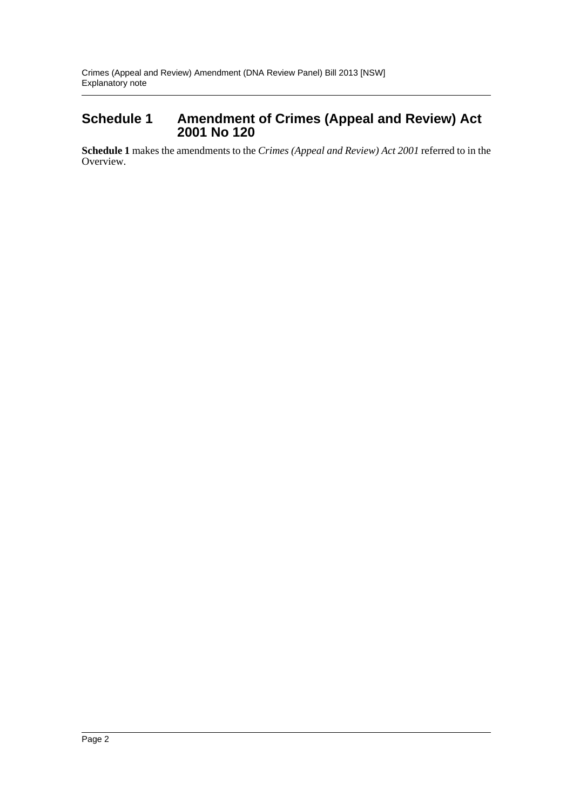#### **Schedule 1 Amendment of Crimes (Appeal and Review) Act 2001 No 120**

**Schedule 1** makes the amendments to the *Crimes (Appeal and Review) Act 2001* referred to in the Overview.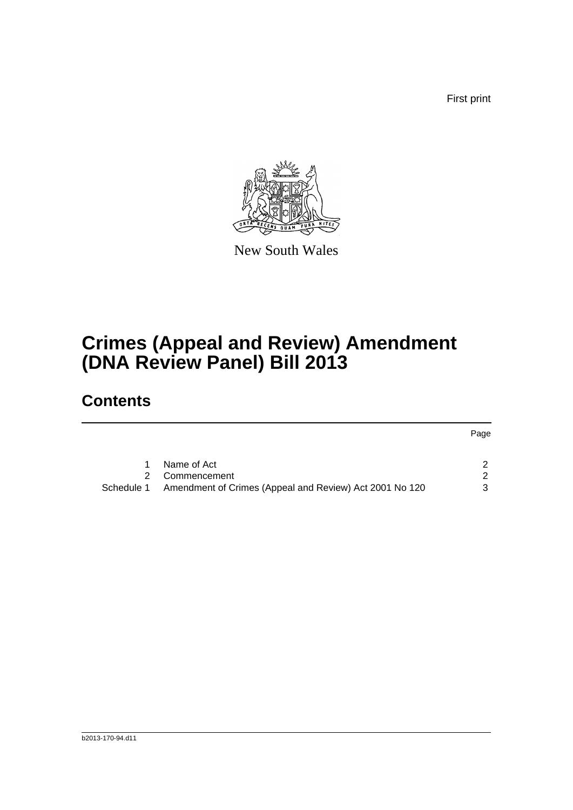First print



New South Wales

# **Crimes (Appeal and Review) Amendment (DNA Review Panel) Bill 2013**

## **Contents**

|            |                                                         | Page |
|------------|---------------------------------------------------------|------|
|            | Name of Act                                             |      |
| 2.         | Commencement                                            | 2    |
| Schedule 1 | Amendment of Crimes (Appeal and Review) Act 2001 No 120 | 3    |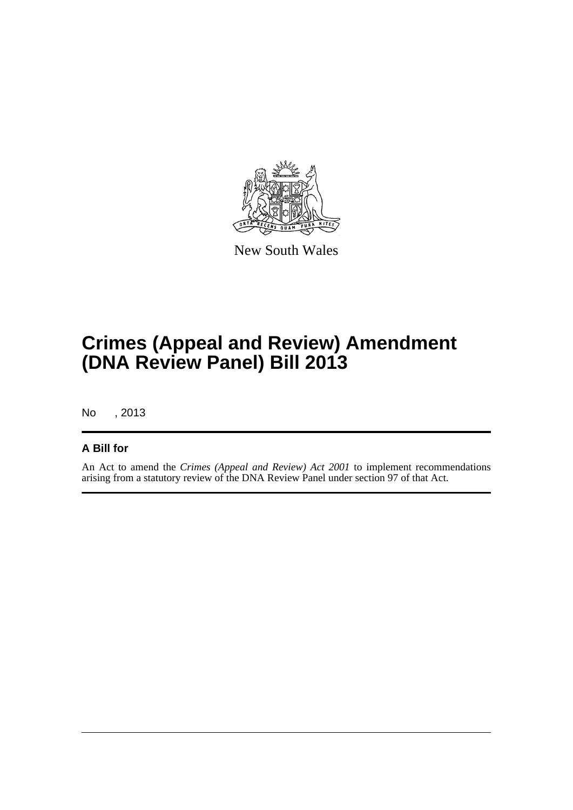

New South Wales

# **Crimes (Appeal and Review) Amendment (DNA Review Panel) Bill 2013**

No , 2013

#### **A Bill for**

An Act to amend the *Crimes (Appeal and Review) Act 2001* to implement recommendations arising from a statutory review of the DNA Review Panel under section 97 of that Act.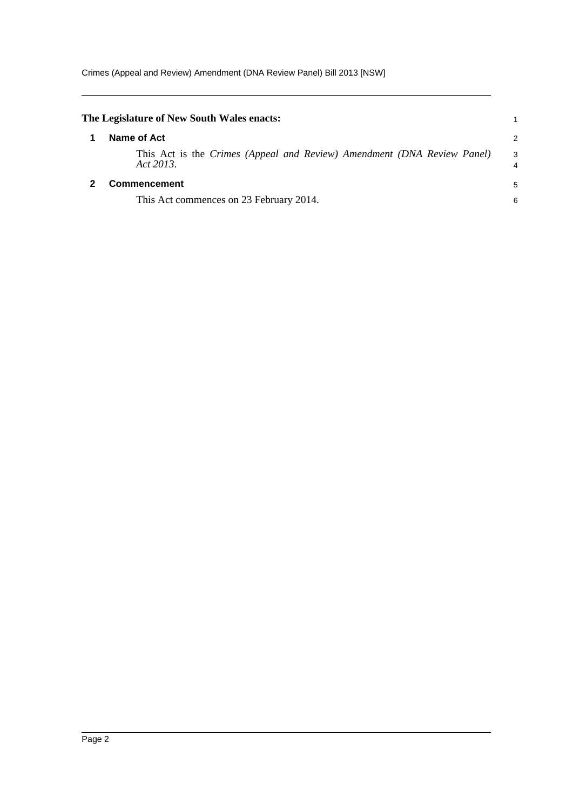<span id="page-4-1"></span><span id="page-4-0"></span>

| The Legislature of New South Wales enacts:                                           |        |
|--------------------------------------------------------------------------------------|--------|
| Name of Act                                                                          | 2      |
| This Act is the Crimes (Appeal and Review) Amendment (DNA Review Panel)<br>Act 2013. | 3<br>4 |
| <b>Commencement</b>                                                                  | 5      |
| This Act commences on 23 February 2014.                                              | 6      |
|                                                                                      |        |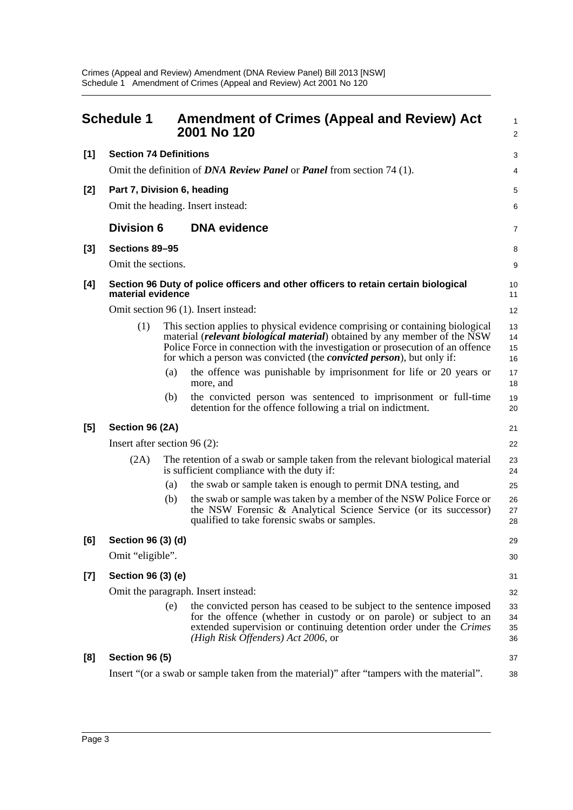<span id="page-5-0"></span>

|       | <b>Schedule 1</b>                                                                                                                                                                                                                                                                                                                    |                                                                       | <b>Amendment of Crimes (Appeal and Review) Act</b><br>2001 No 120                                                                                                                                                                                        | 1<br>$\overline{c}$  |  |
|-------|--------------------------------------------------------------------------------------------------------------------------------------------------------------------------------------------------------------------------------------------------------------------------------------------------------------------------------------|-----------------------------------------------------------------------|----------------------------------------------------------------------------------------------------------------------------------------------------------------------------------------------------------------------------------------------------------|----------------------|--|
| [1]   | <b>Section 74 Definitions</b>                                                                                                                                                                                                                                                                                                        |                                                                       |                                                                                                                                                                                                                                                          | 3                    |  |
|       |                                                                                                                                                                                                                                                                                                                                      | Omit the definition of DNA Review Panel or Panel from section 74 (1). |                                                                                                                                                                                                                                                          |                      |  |
| $[2]$ | Part 7, Division 6, heading                                                                                                                                                                                                                                                                                                          |                                                                       |                                                                                                                                                                                                                                                          | 5                    |  |
|       |                                                                                                                                                                                                                                                                                                                                      |                                                                       | Omit the heading. Insert instead:                                                                                                                                                                                                                        | 6                    |  |
|       | <b>Division 6</b>                                                                                                                                                                                                                                                                                                                    |                                                                       | <b>DNA</b> evidence                                                                                                                                                                                                                                      | 7                    |  |
| $[3]$ | Sections 89-95                                                                                                                                                                                                                                                                                                                       |                                                                       |                                                                                                                                                                                                                                                          | 8                    |  |
|       | Omit the sections.                                                                                                                                                                                                                                                                                                                   |                                                                       |                                                                                                                                                                                                                                                          | 9                    |  |
| [4]   | Section 96 Duty of police officers and other officers to retain certain biological<br>material evidence                                                                                                                                                                                                                              |                                                                       |                                                                                                                                                                                                                                                          | 10<br>11             |  |
|       |                                                                                                                                                                                                                                                                                                                                      |                                                                       | Omit section 96 (1). Insert instead:                                                                                                                                                                                                                     | 12                   |  |
|       | (1)<br>This section applies to physical evidence comprising or containing biological<br>material (relevant biological material) obtained by any member of the NSW<br>Police Force in connection with the investigation or prosecution of an offence<br>for which a person was convicted (the <i>convicted person</i> ), but only if: |                                                                       |                                                                                                                                                                                                                                                          |                      |  |
|       |                                                                                                                                                                                                                                                                                                                                      | (a)                                                                   | the offence was punishable by imprisonment for life or 20 years or<br>more, and                                                                                                                                                                          | 17<br>18             |  |
|       |                                                                                                                                                                                                                                                                                                                                      | (b)                                                                   | the convicted person was sentenced to imprisonment or full-time<br>detention for the offence following a trial on indictment.                                                                                                                            | 19<br>20             |  |
| $[5]$ |                                                                                                                                                                                                                                                                                                                                      | Section 96 (2A)                                                       |                                                                                                                                                                                                                                                          |                      |  |
|       | Insert after section $96(2)$ :                                                                                                                                                                                                                                                                                                       |                                                                       |                                                                                                                                                                                                                                                          |                      |  |
|       | (2A)                                                                                                                                                                                                                                                                                                                                 |                                                                       | The retention of a swab or sample taken from the relevant biological material<br>is sufficient compliance with the duty if:                                                                                                                              | 23<br>24             |  |
|       |                                                                                                                                                                                                                                                                                                                                      | (a)                                                                   | the swab or sample taken is enough to permit DNA testing, and                                                                                                                                                                                            | 25                   |  |
|       |                                                                                                                                                                                                                                                                                                                                      | (b)                                                                   | the swab or sample was taken by a member of the NSW Police Force or<br>the NSW Forensic & Analytical Science Service (or its successor)<br>qualified to take forensic swabs or samples.                                                                  | 26<br>27<br>28       |  |
| [6]   | Section 96 (3) (d)                                                                                                                                                                                                                                                                                                                   |                                                                       |                                                                                                                                                                                                                                                          | 29                   |  |
|       | Omit "eligible".                                                                                                                                                                                                                                                                                                                     |                                                                       |                                                                                                                                                                                                                                                          |                      |  |
| [7]   | Section 96 (3) (e)                                                                                                                                                                                                                                                                                                                   |                                                                       |                                                                                                                                                                                                                                                          |                      |  |
|       | Omit the paragraph. Insert instead:                                                                                                                                                                                                                                                                                                  |                                                                       |                                                                                                                                                                                                                                                          |                      |  |
|       |                                                                                                                                                                                                                                                                                                                                      | (e)                                                                   | the convicted person has ceased to be subject to the sentence imposed<br>for the offence (whether in custody or on parole) or subject to an<br>extended supervision or continuing detention order under the Crimes<br>(High Risk Offenders) Act 2006, or | 33<br>34<br>35<br>36 |  |
| [8]   | <b>Section 96 (5)</b>                                                                                                                                                                                                                                                                                                                |                                                                       |                                                                                                                                                                                                                                                          | 37                   |  |
|       |                                                                                                                                                                                                                                                                                                                                      |                                                                       | Insert "(or a swab or sample taken from the material)" after "tampers with the material".                                                                                                                                                                | 38                   |  |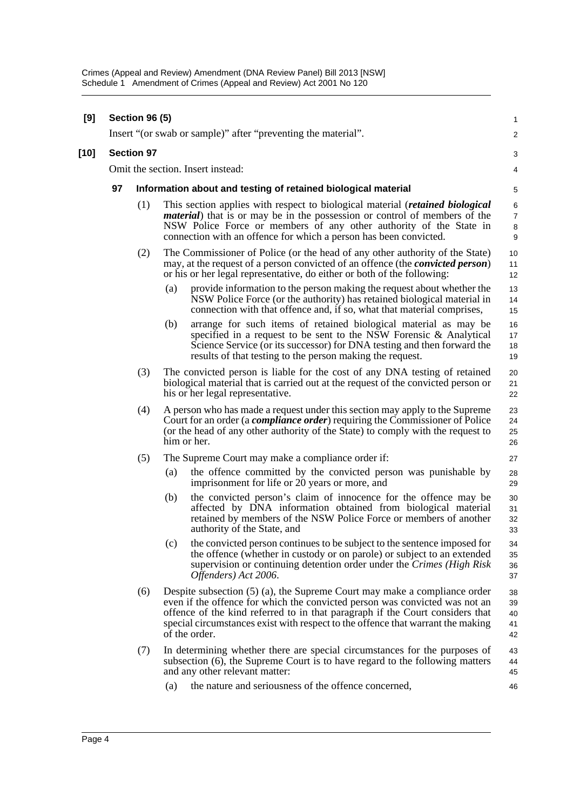| [9]    | <b>Section 96 (5)</b><br>Insert "(or swab or sample)" after "preventing the material". |                                                               |                                                                                                                                                                                                                                                                                                                                                 | 1                          |
|--------|----------------------------------------------------------------------------------------|---------------------------------------------------------------|-------------------------------------------------------------------------------------------------------------------------------------------------------------------------------------------------------------------------------------------------------------------------------------------------------------------------------------------------|----------------------------|
|        |                                                                                        |                                                               |                                                                                                                                                                                                                                                                                                                                                 | $\overline{\mathbf{c}}$    |
| $[10]$ |                                                                                        | <b>Section 97</b>                                             |                                                                                                                                                                                                                                                                                                                                                 |                            |
|        |                                                                                        | Omit the section. Insert instead:                             |                                                                                                                                                                                                                                                                                                                                                 |                            |
|        | 97                                                                                     | Information about and testing of retained biological material |                                                                                                                                                                                                                                                                                                                                                 |                            |
|        |                                                                                        | (1)                                                           | This section applies with respect to biological material ( <i>retained biological</i><br><i>material</i> ) that is or may be in the possession or control of members of the<br>NSW Police Force or members of any other authority of the State in<br>connection with an offence for which a person has been convicted.                          | 6<br>7<br>8<br>9           |
|        |                                                                                        | (2)                                                           | The Commissioner of Police (or the head of any other authority of the State)<br>may, at the request of a person convicted of an offence (the <i>convicted person</i> )<br>or his or her legal representative, do either or both of the following:                                                                                               | 10<br>11<br>12             |
|        |                                                                                        |                                                               | provide information to the person making the request about whether the<br>(a)<br>NSW Police Force (or the authority) has retained biological material in<br>connection with that offence and, if so, what that material comprises,                                                                                                              | 13<br>14<br>15             |
|        |                                                                                        |                                                               | (b)<br>arrange for such items of retained biological material as may be<br>specified in a request to be sent to the NSW Forensic $\&$ Analytical<br>Science Service (or its successor) for DNA testing and then forward the<br>results of that testing to the person making the request.                                                        | 16<br>17<br>18<br>19       |
|        |                                                                                        | (3)                                                           | The convicted person is liable for the cost of any DNA testing of retained<br>biological material that is carried out at the request of the convicted person or<br>his or her legal representative.                                                                                                                                             | 20<br>21<br>22             |
|        |                                                                                        | (4)                                                           | A person who has made a request under this section may apply to the Supreme<br>Court for an order (a <i>compliance order</i> ) requiring the Commissioner of Police<br>(or the head of any other authority of the State) to comply with the request to<br>him or her.                                                                           | 23<br>24<br>25<br>26       |
|        |                                                                                        | (5)                                                           | The Supreme Court may make a compliance order if:                                                                                                                                                                                                                                                                                               | 27                         |
|        |                                                                                        |                                                               | the offence committed by the convicted person was punishable by<br>(a)<br>imprisonment for life or 20 years or more, and                                                                                                                                                                                                                        | 28<br>29                   |
|        |                                                                                        |                                                               | (b)<br>the convicted person's claim of innocence for the offence may be<br>affected by DNA information obtained from biological material<br>retained by members of the NSW Police Force or members of another<br>authority of the State, and                                                                                                    | 30<br>31<br>32<br>33       |
|        |                                                                                        |                                                               | (c)<br>the convicted person continues to be subject to the sentence imposed for<br>the offence (whether in custody or on parole) or subject to an extended<br>supervision or continuing detention order under the Crimes (High Risk<br>Offenders) Act 2006.                                                                                     | 34<br>35<br>36<br>37       |
|        |                                                                                        | (6)                                                           | Despite subsection $(5)$ (a), the Supreme Court may make a compliance order<br>even if the offence for which the convicted person was convicted was not an<br>offence of the kind referred to in that paragraph if the Court considers that<br>special circumstances exist with respect to the offence that warrant the making<br>of the order. | 38<br>39<br>40<br>41<br>42 |
|        |                                                                                        | (7)                                                           | In determining whether there are special circumstances for the purposes of<br>subsection (6), the Supreme Court is to have regard to the following matters<br>and any other relevant matter:                                                                                                                                                    | 43<br>44<br>45             |
|        |                                                                                        |                                                               | the nature and seriousness of the offence concerned,<br>(a)                                                                                                                                                                                                                                                                                     | 46                         |
|        |                                                                                        |                                                               |                                                                                                                                                                                                                                                                                                                                                 |                            |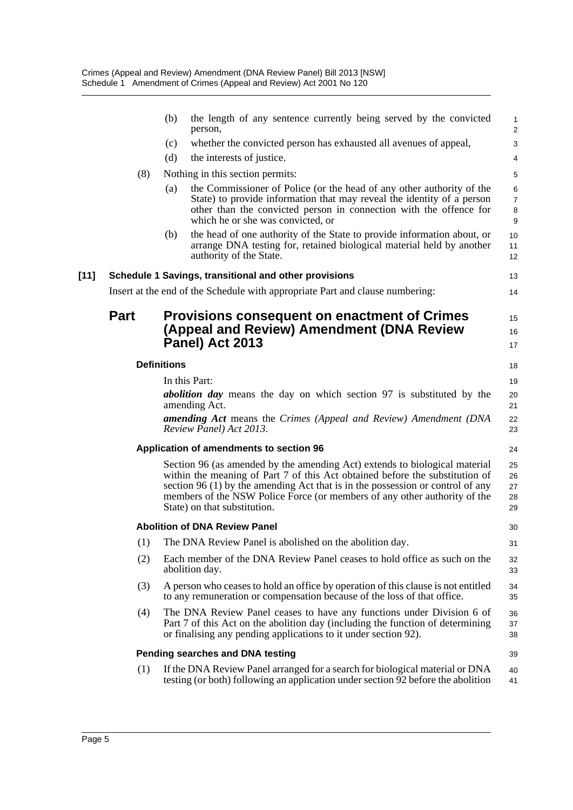|        |             | (b)                | the length of any sentence currently being served by the convicted<br>person,                                                                                                                                                                                                                                                                              | $\mathbf{1}$<br>$\overline{2}$      |
|--------|-------------|--------------------|------------------------------------------------------------------------------------------------------------------------------------------------------------------------------------------------------------------------------------------------------------------------------------------------------------------------------------------------------------|-------------------------------------|
|        |             | (c)                | whether the convicted person has exhausted all avenues of appeal,                                                                                                                                                                                                                                                                                          | 3                                   |
|        |             | (d)                | the interests of justice.                                                                                                                                                                                                                                                                                                                                  | 4                                   |
|        | (8)         |                    | Nothing in this section permits:                                                                                                                                                                                                                                                                                                                           | 5                                   |
|        |             | (a)                | the Commissioner of Police (or the head of any other authority of the<br>State) to provide information that may reveal the identity of a person<br>other than the convicted person in connection with the offence for<br>which he or she was convicted, or                                                                                                 | $\,6\,$<br>$\overline{7}$<br>8<br>9 |
|        |             | (b)                | the head of one authority of the State to provide information about, or<br>arrange DNA testing for, retained biological material held by another<br>authority of the State.                                                                                                                                                                                | 10<br>11<br>12                      |
| $[11]$ |             |                    | Schedule 1 Savings, transitional and other provisions                                                                                                                                                                                                                                                                                                      | 13                                  |
|        |             |                    | Insert at the end of the Schedule with appropriate Part and clause numbering:                                                                                                                                                                                                                                                                              | 14                                  |
|        | <b>Part</b> |                    | <b>Provisions consequent on enactment of Crimes</b><br>(Appeal and Review) Amendment (DNA Review<br>Panel) Act 2013                                                                                                                                                                                                                                        | 15<br>16<br>17                      |
|        |             | <b>Definitions</b> |                                                                                                                                                                                                                                                                                                                                                            | 18                                  |
|        |             |                    | In this Part:                                                                                                                                                                                                                                                                                                                                              | 19                                  |
|        |             |                    | <b>abolition day</b> means the day on which section 97 is substituted by the<br>amending Act.                                                                                                                                                                                                                                                              | 20<br>21                            |
|        |             |                    | amending Act means the Crimes (Appeal and Review) Amendment (DNA<br>Review Panel) Act 2013.                                                                                                                                                                                                                                                                | 22<br>23                            |
|        |             |                    | Application of amendments to section 96                                                                                                                                                                                                                                                                                                                    | 24                                  |
|        |             |                    | Section 96 (as amended by the amending Act) extends to biological material<br>within the meaning of Part 7 of this Act obtained before the substitution of<br>section $96(1)$ by the amending Act that is in the possession or control of any<br>members of the NSW Police Force (or members of any other authority of the<br>State) on that substitution. | 25<br>26<br>27<br>28<br>29          |
|        |             |                    | <b>Abolition of DNA Review Panel</b>                                                                                                                                                                                                                                                                                                                       | 30                                  |
|        | (1)         |                    | The DNA Review Panel is abolished on the abolition day.                                                                                                                                                                                                                                                                                                    | 31                                  |
|        | (2)         |                    | Each member of the DNA Review Panel ceases to hold office as such on the<br>abolition day.                                                                                                                                                                                                                                                                 | 32<br>33                            |
|        | (3)         |                    | A person who ceases to hold an office by operation of this clause is not entitled<br>to any remuneration or compensation because of the loss of that office.                                                                                                                                                                                               | 34<br>35                            |
|        | (4)         |                    | The DNA Review Panel ceases to have any functions under Division 6 of<br>Part 7 of this Act on the abolition day (including the function of determining<br>or finalising any pending applications to it under section 92).                                                                                                                                 | 36<br>37<br>38                      |
|        |             |                    | Pending searches and DNA testing                                                                                                                                                                                                                                                                                                                           | 39                                  |
|        | (1)         |                    | If the DNA Review Panel arranged for a search for biological material or DNA<br>testing (or both) following an application under section 92 before the abolition                                                                                                                                                                                           | 40<br>41                            |
|        |             |                    |                                                                                                                                                                                                                                                                                                                                                            |                                     |